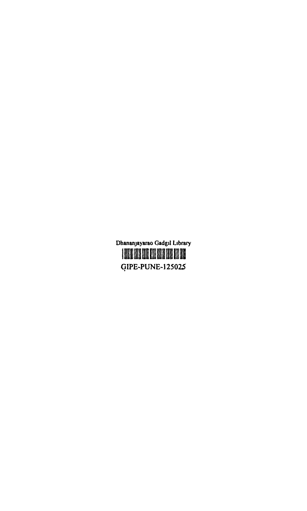## GIPE-PUNE-125025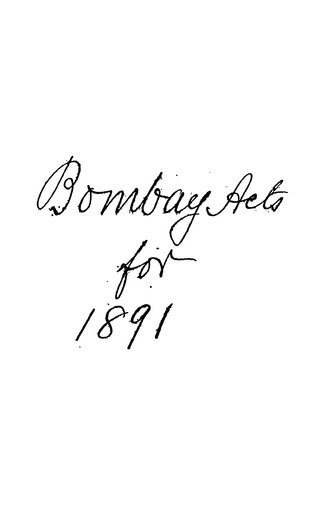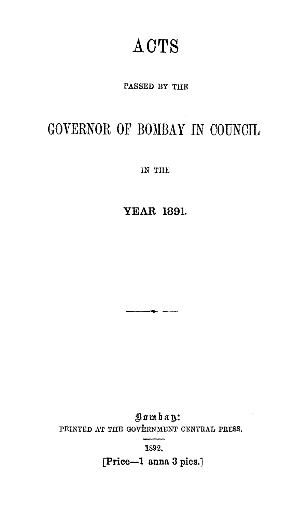## **ACTS**

PASSED BY THE

## GOVERNOR OF BOMBAY IN COUNCIL

IN THE

**YEAR 1891.** 

Bombay: PRINTED AT THE GOVERNMENT CENTRAL PRESS.

1892.

[Price-1 anna 3 pies.]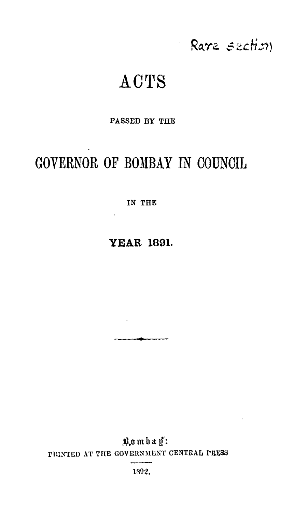## Rare section

# **ACTS**

 $\epsilon$ 

### PASSED BY THE

## GOVERNOR OF BOMBAY IN COUNCIL

IN THE

### **YEAR 1891.**

Bombay: PRINTED AT THE GOVERNMENT CENTRAL PRESS

1892.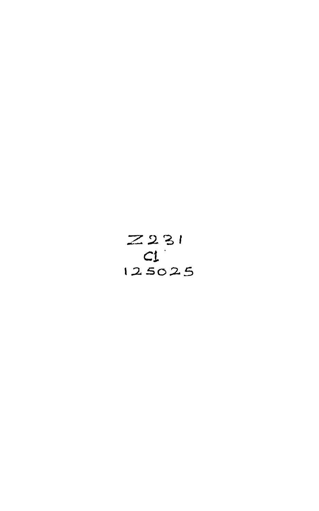$$
\begin{array}{c}\nZ231 \\
C1 \\
125025\n\end{array}
$$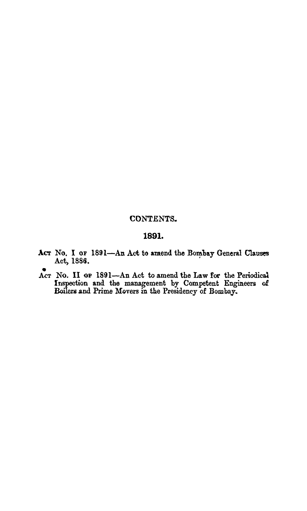#### CONTENTS.

### **1891.**

- ACT No. I OF 1891-An Act to amend the Bombay General Clauses Act, 1886.
- Act No. II OF 1891-An Act to amend the Law for the Periodical Inspection and the management by Competent Engineers of Boilers and Prime Movers in the Presidency of Bombay.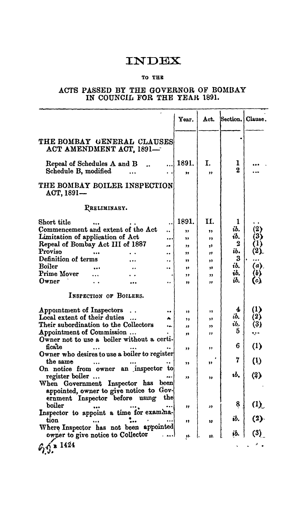### **INDEX**

### TO THB:

#### ACTS PASSED BY THE GOVERNOR OF BOMBAY IN COUNCIL FOR THE YEAR 1891.

|                                                           |                        |                                                        |                      | Year.                   | Act.           | Section. | Clause.             |
|-----------------------------------------------------------|------------------------|--------------------------------------------------------|----------------------|-------------------------|----------------|----------|---------------------|
|                                                           |                        | THE BOMBAY GENERAL CLAUSES<br>ACT AMENDMENT ACT, 1891- |                      |                         |                |          |                     |
| Repeal of Schedules A and B<br>Schedule B, modified       |                        |                                                        |                      | 1891.<br>,,             | I.<br>,,       | ı<br>2   |                     |
| ACT, 1891-                                                |                        | THE BOMBAY BOILER INSPECTION                           |                      |                         |                |          |                     |
|                                                           | PRELIMINARY.           |                                                        |                      |                         |                |          |                     |
| Short title                                               |                        |                                                        |                      | 1891.                   | Н.             | 1        |                     |
| Commencement and extent of the Act                        |                        |                                                        | Ω.                   | $\overline{\mathbf{z}}$ | 11             | ib.      | (2)                 |
| Limitation of application of Act                          |                        |                                                        |                      | 11                      | ,,             | ib.      | (3)                 |
| Repeal of Bombay Act III of 1887                          |                        |                                                        |                      | ,,                      | 33             | 2        | (1)                 |
| Proviso                                                   |                        |                                                        |                      | 11                      | $\overline{1}$ | ib.      | (2)                 |
| Definition of terms                                       |                        |                                                        | . .                  | ,,                      | 33             | 3        |                     |
| <b>Boiler</b>                                             |                        |                                                        | $\ddot{\phantom{a}}$ | ,,                      | 33             | ib.      | $\langle a \rangle$ |
| Prime Mover                                               |                        |                                                        |                      | ,,                      | 99             | ib.      | (6)                 |
| Owner                                                     |                        |                                                        | $\ddot{\phantom{0}}$ | ,,                      | ,,             | ib.      | (c)                 |
|                                                           | INSPECTION OF BOILERS. |                                                        |                      |                         |                |          |                     |
|                                                           |                        |                                                        |                      |                         |                | 4        | (1)                 |
| Appointment of Inspectors<br>Local extent of their duties |                        |                                                        |                      | ,,                      | ,,             | ib.      | (2)                 |
| Their subordination to the Collectors                     |                        |                                                        |                      | ,,                      | ,,             | ib.      | (3)                 |
| Appointment of Commission                                 |                        |                                                        |                      | IJ                      | ,,             | 5.       |                     |
|                                                           |                        | Owner not to use a boiler without a certi-             |                      | 33                      | ,,             |          | ٠.                  |
| ficate                                                    |                        |                                                        |                      |                         |                | 6        | $\left(1\right)$    |
|                                                           |                        | Owner who desires to use a boiler to register          |                      | ,,                      | ,,             |          |                     |
| the same                                                  |                        |                                                        |                      |                         |                | 7        | $\left($ 1          |
|                                                           |                        | On notice from owner an inspector to                   |                      | ,,                      | 39             |          |                     |
| register boiler                                           |                        |                                                        |                      |                         |                | ıb.      | (2)                 |
|                                                           |                        | When Government Inspector has been                     |                      | "                       | "              |          |                     |
|                                                           |                        | appointed, owner to give notice to Gov-                |                      |                         |                |          |                     |
|                                                           |                        | ernment Inspector before using                         | the                  |                         |                |          |                     |
| boiler                                                    |                        |                                                        |                      |                         |                | 8.       | $\Omega$            |
|                                                           |                        | Inspector to appoint a time for examina-               |                      | ,,                      | 33             |          |                     |
| tion                                                      |                        |                                                        |                      |                         |                | ib.      | (2)                 |
|                                                           |                        | Where Inspector has not been appointed                 |                      | ,,                      | 13             |          |                     |
| owner to give notice to Collector                         |                        |                                                        |                      |                         | 12             | ib.      | (3)                 |
|                                                           |                        |                                                        |                      | 33.                     |                |          |                     |
| 6.9.1424                                                  |                        |                                                        |                      |                         |                |          |                     |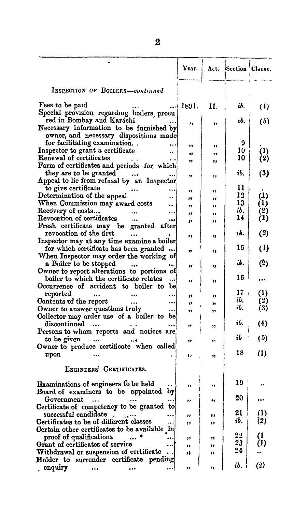|                                                                      | Year.    |          | Act. Section Clause. |                         |
|----------------------------------------------------------------------|----------|----------|----------------------|-------------------------|
| INSPECTION OF BOILERS-continued                                      |          |          |                      |                         |
| Fees to be paid                                                      | 1891.    | Н.       | ib.                  | (4)                     |
| Special provision regarding boilers procu                            |          |          |                      |                         |
| red in Bombay and Karáchi                                            | ,,       | 93       | ıb.                  | (5)                     |
| Necessary information to be furnished by                             |          |          |                      |                         |
| owner, and necessary dispositions made                               |          |          |                      |                         |
| for facilitating examination                                         | 11       | ,,       | 9                    |                         |
| Inspector to grant a certificate<br>Renewal of certificates          | ,,       | ,,       | 10<br>10             | $\rm (1)$               |
|                                                                      | ,,       | "        |                      | (2)                     |
| Form of certificates and periods for which<br>they are to be granted |          |          | ib.                  |                         |
| Appeal to lie from refusal by an Inspector                           | 99       | ,,       |                      | (3)                     |
| to give certificate                                                  |          |          | 11                   |                         |
| Determination of the appeal<br>۰.                                    | "        | ,,       | 12                   | $\bf(1)$                |
| When Commission may award costs                                      | 79       | ,,       | 13                   | (1)                     |
| Recovery of costs<br>                                                | ,,<br>,, | ,,       | ib.                  | (2)                     |
| Revocation of certificates<br>.                                      | 33       | ,,<br>"  | 14                   | (1)                     |
| granted after<br>Fresh certificate may be                            |          |          |                      |                         |
| revocation of the first                                              | ,,       | "        | 16.                  | (2)                     |
| Inspector may at any time examine a boiler                           |          |          |                      |                         |
| for which certificate has been granted                               | 11       | ,,       | 15                   | $\left(1\right)$        |
| When Inspector may order the working of                              |          |          |                      |                         |
| a Boiler to be stopped                                               | 99       | "        | il.                  | (2)                     |
| Owner to report alterations to portions of                           |          |          |                      |                         |
| boiler to which the certificate relates                              | "        | ,,       | 16                   |                         |
| Occurrence of accident to boiler to<br>be                            |          |          | 17 -                 |                         |
| reported                                                             | 39       | ,,       | ib.                  | $\left(1\right)$<br>(2) |
| Contents of the report<br><br>Owner to answer questions truly        | 99       | 39       | ib.                  | (3)                     |
| <br>Collector may order use of a boiler to be                        | ,,       | ,,       |                      |                         |
| discontinued                                                         |          |          | ib.                  | (4)                     |
| Persons to whom reports and notices are                              | ,,       | ,,       |                      |                         |
| to be given                                                          | ,,       | ,,       | ib                   | (5)                     |
| Owner to produce certificate when called                             |          |          |                      |                         |
| upon                                                                 | ,,       | 95       | 18                   | (1)                     |
|                                                                      |          |          |                      |                         |
| ENGINEERS' CERTIFICATES.                                             |          |          |                      |                         |
|                                                                      |          |          | 19                   |                         |
| Examinations of engineers to be held                                 | ,,       | ,,       |                      |                         |
| Board of examiners to be appointed<br>by                             |          |          | 20                   |                         |
| Government<br>Certificate of competency to be granted<br>to          | ,,       | ٠,       |                      |                         |
| successful candidate                                                 |          |          | 21                   | (1)                     |
| Certificates to be of different classes                              | ,,<br>,, | ,,<br>,, | ib.                  | (2)                     |
| Certain other certificates to be available $\ln$                     |          |          |                      |                         |
| proof of qualifications                                              | ,,       | "        | 2 <sub>2</sub>       | O.                      |
| Grant of certificates of service                                     | ,,       | ,,       | 23                   | (1)                     |
| Withdrawal or suspension of certificate                              | 11       | ,,       | 24                   |                         |
| Holder to surrender certificate pending                              |          |          |                      |                         |
| , enquiry                                                            | ٠,       | ٠,       | ib.                  | (2)                     |